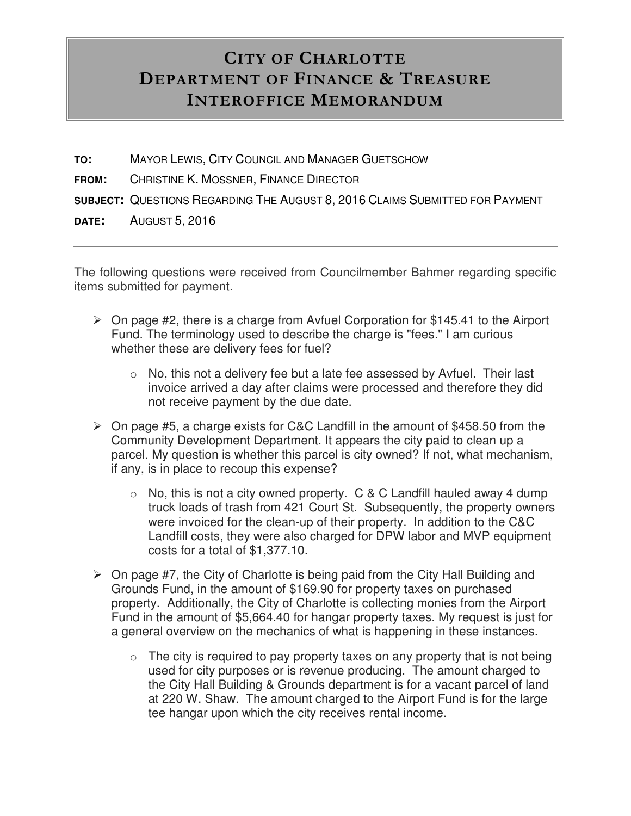## **CITY OF CHARLOTTE DEPARTMENT OF FINANCE & TREASURE INTEROFFICE MEMORANDUM**

- **TO:** MAYOR LEWIS, CITY COUNCIL AND MANAGER GUETSCHOW
- **FROM:** CHRISTINE K. MOSSNER, FINANCE DIRECTOR
- **SUBJECT:** QUESTIONS REGARDING THE AUGUST 8, 2016 CLAIMS SUBMITTED FOR PAYMENT
- **DATE:** AUGUST 5, 2016

The following questions were received from Councilmember Bahmer regarding specific items submitted for payment.

- $\triangleright$  On page #2, there is a charge from Avfuel Corporation for \$145.41 to the Airport Fund. The terminology used to describe the charge is "fees." I am curious whether these are delivery fees for fuel?
	- $\circ$  No, this not a delivery fee but a late fee assessed by Avfuel. Their last invoice arrived a day after claims were processed and therefore they did not receive payment by the due date.
- $\triangleright$  On page #5, a charge exists for C&C Landfill in the amount of \$458.50 from the Community Development Department. It appears the city paid to clean up a parcel. My question is whether this parcel is city owned? If not, what mechanism, if any, is in place to recoup this expense?
	- $\circ$  No, this is not a city owned property. C & C Landfill hauled away 4 dump truck loads of trash from 421 Court St. Subsequently, the property owners were invoiced for the clean-up of their property. In addition to the C&C Landfill costs, they were also charged for DPW labor and MVP equipment costs for a total of \$1,377.10.
- $\triangleright$  On page #7, the City of Charlotte is being paid from the City Hall Building and Grounds Fund, in the amount of \$169.90 for property taxes on purchased property. Additionally, the City of Charlotte is collecting monies from the Airport Fund in the amount of \$5,664.40 for hangar property taxes. My request is just for a general overview on the mechanics of what is happening in these instances.
	- $\circ$  The city is required to pay property taxes on any property that is not being used for city purposes or is revenue producing. The amount charged to the City Hall Building & Grounds department is for a vacant parcel of land at 220 W. Shaw. The amount charged to the Airport Fund is for the large tee hangar upon which the city receives rental income.